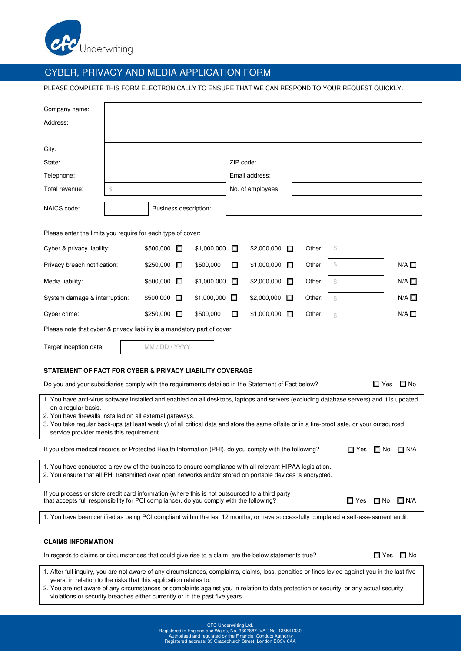

## CYBER, PRIVACY AND MEDIA APPLICATION FORM

PLEASE COMPLETE THIS FORM ELECTRONICALLY TO ENSURE THAT WE CAN RESPOND TO YOUR REQUEST QUICKLY.

| Company name:                                                                                                                                                                                                                    |                       |                     |             |                |                   |        |        |                |  |  |                 |
|----------------------------------------------------------------------------------------------------------------------------------------------------------------------------------------------------------------------------------|-----------------------|---------------------|-------------|----------------|-------------------|--------|--------|----------------|--|--|-----------------|
| Address:                                                                                                                                                                                                                         |                       |                     |             |                |                   |        |        |                |  |  |                 |
|                                                                                                                                                                                                                                  |                       |                     |             |                |                   |        |        |                |  |  |                 |
| City:                                                                                                                                                                                                                            |                       |                     |             |                |                   |        |        |                |  |  |                 |
| State:                                                                                                                                                                                                                           |                       |                     |             | ZIP code:      |                   |        |        |                |  |  |                 |
| Telephone:                                                                                                                                                                                                                       |                       |                     |             | Email address: |                   |        |        |                |  |  |                 |
| Total revenue:                                                                                                                                                                                                                   | \$                    |                     |             |                | No. of employees: |        |        |                |  |  |                 |
| NAICS code:                                                                                                                                                                                                                      | Business description: |                     |             |                |                   |        |        |                |  |  |                 |
| Please enter the limits you require for each type of cover:                                                                                                                                                                      |                       |                     |             |                |                   |        |        |                |  |  |                 |
| Cyber & privacy liability:                                                                                                                                                                                                       |                       | \$500,000<br>П      | \$1,000,000 | П              | \$2,000,000       | □      | Other: | $\mathbb{S}$   |  |  |                 |
| Privacy breach notification:                                                                                                                                                                                                     |                       | \$250,000<br>П      | \$500,000   | П              | \$1,000,000       | $\Box$ | Other: | \$             |  |  | N/A             |
| Media liability:                                                                                                                                                                                                                 |                       | \$500,000<br>П      | \$1,000,000 | П              | \$2,000,000       | П      | Other: | \$             |  |  | $N/A$ $\Box$    |
| System damage & interruption:                                                                                                                                                                                                    |                       | \$500,000<br>$\Box$ | \$1,000,000 | $\Box$         | \$2,000,000       | $\Box$ | Other: | $$\mathbb{S}$$ |  |  | $N/A$ $\square$ |
| Cyber crime:                                                                                                                                                                                                                     |                       | \$250,000<br>$\Box$ | \$500,000   | П              | \$1,000,000       | $\Box$ | Other: | $$\mathbb{S}$$ |  |  | $N/A$ $\square$ |
| Please note that cyber & privacy liability is a mandatory part of cover.                                                                                                                                                         |                       |                     |             |                |                   |        |        |                |  |  |                 |
| Target inception date:                                                                                                                                                                                                           |                       | MM / DD / YYYY      |             |                |                   |        |        |                |  |  |                 |
| STATEMENT OF FACT FOR CYBER & PRIVACY LIABILITY COVERAGE                                                                                                                                                                         |                       |                     |             |                |                   |        |        |                |  |  |                 |
| Do you and your subsidiaries comply with the requirements detailed in the Statement of Fact below?<br>□ Yes<br>l⊟ No                                                                                                             |                       |                     |             |                |                   |        |        |                |  |  |                 |
| 1. You have anti-virus software installed and enabled on all desktops, laptops and servers (excluding database servers) and it is updated                                                                                        |                       |                     |             |                |                   |        |        |                |  |  |                 |
| on a regular basis.<br>2. You have firewalls installed on all external gateways.                                                                                                                                                 |                       |                     |             |                |                   |        |        |                |  |  |                 |
| 3. You take regular back-ups (at least weekly) of all critical data and store the same offsite or in a fire-proof safe, or your outsourced<br>service provider meets this requirement.                                           |                       |                     |             |                |                   |        |        |                |  |  |                 |
| If you store medical records or Protected Health Information (PHI), do you comply with the following?<br>□ Yes □ No □ N/A                                                                                                        |                       |                     |             |                |                   |        |        |                |  |  |                 |
| 1. You have conducted a review of the business to ensure compliance with all relevant HIPAA legislation.<br>2. You ensure that all PHI transmitted over open networks and/or stored on portable devices is encrypted.            |                       |                     |             |                |                   |        |        |                |  |  |                 |
| If you process or store credit card information (where this is not outsourced to a third party<br>that accepts full responsibility for PCI compliance), do you comply with the following?<br>$\Box$ N/A<br>$\square$ Yes<br>□ No |                       |                     |             |                |                   |        |        |                |  |  |                 |
| 1. You have been certified as being PCI compliant within the last 12 months, or have successfully completed a self-assessment audit.                                                                                             |                       |                     |             |                |                   |        |        |                |  |  |                 |
|                                                                                                                                                                                                                                  |                       |                     |             |                |                   |        |        |                |  |  |                 |
| <b>CLAIMS INFORMATION</b>                                                                                                                                                                                                        |                       |                     |             |                |                   |        |        |                |  |  |                 |

In regards to claims or circumstances that could give rise to a claim, are the below statements true?  $\Box$  Yes  $\Box$  No

1. After full inquiry, you are not aware of any circumstances, complaints, claims, loss, penalties or fines levied against you in the last five years, in relation to the risks that this application relates to.

2. You are not aware of any circumstances or complaints against you in relation to data protection or security, or any actual security violations or security breaches either currently or in the past five years.